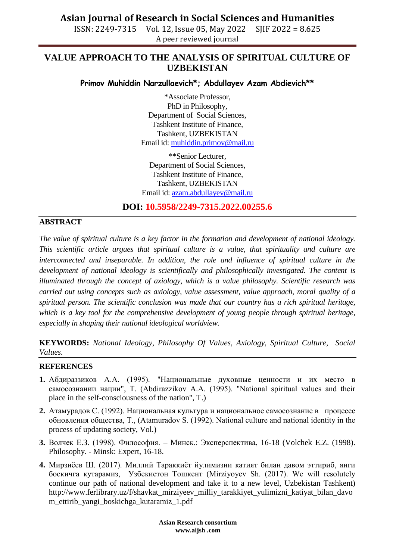## **Asian Journal of Research in Social Sciences and Humanities**

ISSN: 2249-7315 Vol. 12, Issue 05, May 2022 SJIF 2022 = 8.625 A peer reviewed journal

## **VALUE APPROACH TO THE ANALYSIS OF SPIRITUAL CULTURE OF UZBEKISTAN**

#### **Primov Muhiddin Narzullaevich\*; Abdullayev Azam Abdievich\*\***

\*Associate Professor, PhD in Philosophy, Department of Social Sciences, Tashkent Institute of Finance, Tashkent, UZBEKISTAN Email id: [muhiddin.primov@mail.ru](mailto:muhiddin.primov@mail.ru)

\*\*Senior Lecturer, Department of Social Sciences, Tashkent Institute of Finance, Tashkent, UZBEKISTAN Email id: [azam.abdullayev@mail.ru](mailto:azam.abdullayev@mail.ru)

**DOI: 10.5958/2249-7315.2022.00255.6**

### **ABSTRACT**

*The value of spiritual culture is a key factor in the formation and development of national ideology. This scientific article argues that spiritual culture is a value, that spirituality and culture are*  interconnected and inseparable. In addition, the role and influence of spiritual culture in the *development of national ideology is scientifically and philosophically investigated. The content is illuminated through the concept of axiology, which is a value philosophy. Scientific research was carried out using concepts such as axiology, value assessment, value approach, moral quality of a spiritual person. The scientific conclusion was made that our country has a rich spiritual heritage, which is a key tool for the comprehensive development of young people through spiritual heritage, especially in shaping their national ideological worldview.*

**KEYWORDS:** *National Ideology, Philosophy Of Values, Axiology, Spiritual Culture, Social Values.*

#### **REFERENCES**

- **1.** Абдираззиков А.А. (1995). "Национальные духовные ценности и их место в самосознании нации", Т. (Abdirazzikov A.A. (1995). "National spiritual values and their place in the self-consciousness of the nation", T.)
- **2.** Атамурадов С. (1992). Национальная культура и национальное самосознание в процессе обновления общества, Т., (Atamuradov S. (1992). National culture and national identity in the process of updating society, Vol.)
- **3.** Волчек Е.З. (1998). Философия. Минск.: Эксперспектива, 16-18 (Volchek E.Z. (1998). Philosophy. - Minsk: Expert, 16-18.
- **4.** Мирзиёев Ш. (2017). Миллий Тараккиёт йулимизни катият билан давом эттириб, янги боскичга кутарамиз, Узбекистон Тошкент (Mirziyoyev Sh. (2017). We will resolutely continue our path of national development and take it to a new level, Uzbekistan Tashkent) http://www.ferlibrary.uz/f/shavkat\_mirziyeev\_milliy\_tarakkiyet\_yulimizni\_katiyat\_bilan\_davo m\_ettirib\_yangi\_boskichga\_kutaramiz\_1.pdf